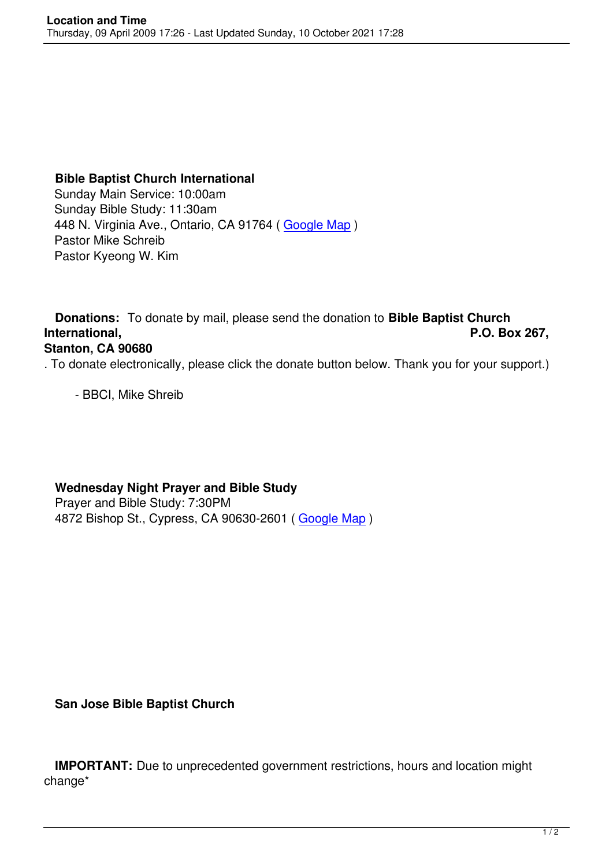## **Bible Baptist Church International**

 Sunday Main Service: 10:00am Sunday Bible Study: 11:30am 448 N. Virginia Ave., Ontario, CA 91764 ( Google Map ) Pastor Mike Schreib Pastor Kyeong W. Kim

 **Donations:** To donate by mail, please send the donation to **Bible Baptist Church International, P.O. Box 267,**

## **Stanton, CA 90680**

. To donate electronically, please click the donate button below. Thank you for your support.)

- BBCI, Mike Shreib

**Wednesday Night Prayer and Bible Study** 

Prayer and Bible Study: 7:30PM 4872 Bishop St., Cypress, CA 90630-2601 ( Google Map )

**San Jose Bible Baptist Church**

 **IMPORTANT:** Due to unprecedented government restrictions, hours and location might change\*